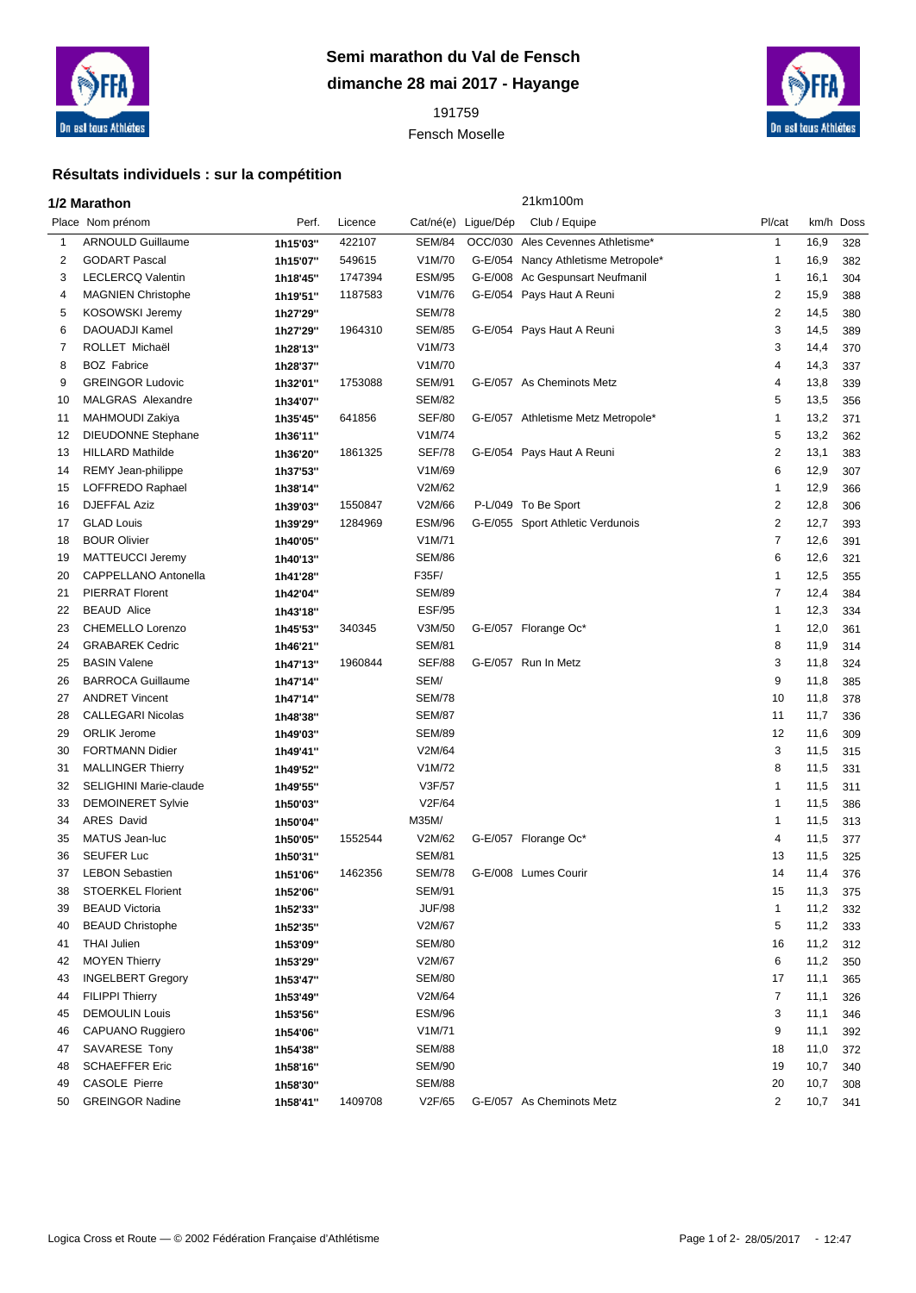

## **Semi marathon du Val de Fensch dimanche 28 mai 2017 - Hayange**

 Fensch Moselle



## **Résultats individuels : sur la compétition**

|    | 1/2 Marathon                  |          |         | 21km100m      |                     |                                     |                |           |     |
|----|-------------------------------|----------|---------|---------------|---------------------|-------------------------------------|----------------|-----------|-----|
|    | Place Nom prénom              | Perf.    | Licence |               | Cat/né(e) Ligue/Dép | Club / Equipe                       | Pl/cat         | km/h Doss |     |
| 1  | <b>ARNOULD Guillaume</b>      | 1h15'03" | 422107  | <b>SEM/84</b> |                     | OCC/030 Ales Cevennes Athletisme*   | $\mathbf{1}$   | 16,9      | 328 |
| 2  | <b>GODART Pascal</b>          | 1h15'07" | 549615  | V1M/70        |                     | G-E/054 Nancy Athletisme Metropole* | 1              | 16,9      | 382 |
| 3  | <b>LECLERCQ Valentin</b>      | 1h18'45" | 1747394 | <b>ESM/95</b> | G-E/008             | Ac Gespunsart Neufmanil             | 1              | 16,1      | 304 |
| 4  | <b>MAGNIEN Christophe</b>     | 1h19'51" | 1187583 | V1M/76        |                     | G-E/054 Pays Haut A Reuni           | $\overline{c}$ | 15,9      | 388 |
| 5  | KOSOWSKI Jeremy               | 1h27'29" |         | <b>SEM/78</b> |                     |                                     | 2              | 14,5      | 380 |
| 6  | <b>DAOUADJI Kamel</b>         | 1h27'29" | 1964310 | <b>SEM/85</b> |                     | G-E/054 Pays Haut A Reuni           | 3              | 14,5      | 389 |
| 7  | ROLLET Michaël                | 1h28'13" |         | V1M/73        |                     |                                     | 3              | 14,4      | 370 |
| 8  | <b>BOZ</b> Fabrice            | 1h28'37" |         | V1M/70        |                     |                                     | 4              | 14,3      | 337 |
| 9  | <b>GREINGOR Ludovic</b>       | 1h32'01" | 1753088 | <b>SEM/91</b> |                     | G-E/057 As Cheminots Metz           | 4              | 13,8      | 339 |
| 10 | MALGRAS Alexandre             | 1h34'07" |         | <b>SEM/82</b> |                     |                                     | 5              | 13,5      | 356 |
| 11 | <b>MAHMOUDI Zakiya</b>        | 1h35'45" | 641856  | <b>SEF/80</b> |                     | G-E/057 Athletisme Metz Metropole*  | 1              | 13,2      | 371 |
| 12 | <b>DIEUDONNE Stephane</b>     | 1h36'11" |         | V1M/74        |                     |                                     | 5              | 13,2      | 362 |
| 13 | <b>HILLARD Mathilde</b>       | 1h36'20" | 1861325 | <b>SEF/78</b> |                     | G-E/054 Pays Haut A Reuni           | 2              | 13,1      | 383 |
| 14 | REMY Jean-philippe            | 1h37'53" |         | V1M/69        |                     |                                     | 6              | 12,9      | 307 |
| 15 | LOFFREDO Raphael              | 1h38'14" |         | V2M/62        |                     |                                     | 1              | 12,9      | 366 |
| 16 | <b>DJEFFAL Aziz</b>           | 1h39'03" | 1550847 | V2M/66        |                     | P-L/049 To Be Sport                 | 2              | 12,8      | 306 |
| 17 | <b>GLAD Louis</b>             | 1h39'29" | 1284969 | <b>ESM/96</b> |                     | G-E/055 Sport Athletic Verdunois    | 2              | 12,7      | 393 |
| 18 | <b>BOUR Olivier</b>           | 1h40'05" |         | V1M/71        |                     |                                     | $\overline{7}$ | 12,6      | 391 |
| 19 | MATTEUCCI Jeremy              | 1h40'13" |         | <b>SEM/86</b> |                     |                                     | 6              | 12,6      | 321 |
| 20 | CAPPELLANO Antonella          | 1h41'28" |         | F35F/         |                     |                                     | 1              | 12,5      | 355 |
| 21 | <b>PIERRAT Florent</b>        | 1h42'04" |         | <b>SEM/89</b> |                     |                                     | $\overline{7}$ | 12,4      | 384 |
| 22 | <b>BEAUD Alice</b>            | 1h43'18" |         | <b>ESF/95</b> |                     |                                     | $\mathbf{1}$   | 12,3      | 334 |
| 23 | CHEMELLO Lorenzo              | 1h45'53" | 340345  | V3M/50        |                     | G-E/057 Florange Oc*                | 1              | 12,0      | 361 |
| 24 | <b>GRABAREK Cedric</b>        | 1h46'21" |         | <b>SEM/81</b> |                     |                                     | 8              | 11,9      | 314 |
| 25 | <b>BASIN Valene</b>           | 1h47'13" | 1960844 | <b>SEF/88</b> |                     | G-E/057 Run In Metz                 | 3              | 11,8      | 324 |
| 26 | <b>BARROCA Guillaume</b>      | 1h47'14" |         | SEM/          |                     |                                     | 9              | 11,8      | 385 |
| 27 | <b>ANDRET Vincent</b>         | 1h47'14" |         | <b>SEM/78</b> |                     |                                     | 10             | 11,8      | 378 |
| 28 | <b>CALLEGARI Nicolas</b>      | 1h48'38" |         | <b>SEM/87</b> |                     |                                     | 11             | 11,7      | 336 |
| 29 | <b>ORLIK Jerome</b>           | 1h49'03" |         | <b>SEM/89</b> |                     |                                     | 12             | 11,6      | 309 |
| 30 | <b>FORTMANN Didier</b>        | 1h49'41" |         | V2M/64        |                     |                                     | 3              | 11,5      | 315 |
| 31 | <b>MALLINGER Thierry</b>      | 1h49'52" |         | V1M/72        |                     |                                     | 8              | 11,5      | 331 |
| 32 | <b>SELIGHINI Marie-claude</b> | 1h49'55" |         | V3F/57        |                     |                                     | 1              | 11,5      | 311 |
| 33 | <b>DEMOINERET Sylvie</b>      | 1h50'03" |         | V2F/64        |                     |                                     | 1              | 11,5      | 386 |
| 34 | <b>ARES David</b>             | 1h50'04" |         | M35M/         |                     |                                     | 1              | 11,5      | 313 |
| 35 | <b>MATUS Jean-luc</b>         | 1h50'05" | 1552544 | V2M/62        |                     | G-E/057 Florange Oc*                | 4              | 11,5      | 377 |
| 36 | <b>SEUFER Luc</b>             | 1h50'31" |         | <b>SEM/81</b> |                     |                                     | 13             | 11,5      | 325 |
| 37 | <b>LEBON Sebastien</b>        | 1h51'06" | 1462356 | <b>SEM/78</b> |                     | G-E/008 Lumes Courir                | 14             | 11,4      | 376 |
| 38 | <b>STOERKEL Florient</b>      | 1h52'06" |         | <b>SEM/91</b> |                     |                                     | 15             | 11,3      | 375 |
| 39 | <b>BEAUD Victoria</b>         | 1h52'33" |         | <b>JUF/98</b> |                     |                                     | 1              | 11,2      | 332 |
| 40 | <b>BEAUD Christophe</b>       | 1h52'35" |         | V2M/67        |                     |                                     | 5              | 11,2      | 333 |
| 41 | <b>THAI Julien</b>            | 1h53'09" |         | <b>SEM/80</b> |                     |                                     | 16             | 11,2      | 312 |
| 42 | <b>MOYEN Thierry</b>          | 1h53'29" |         | V2M/67        |                     |                                     | 6              | 11,2      | 350 |
| 43 | <b>INGELBERT Gregory</b>      | 1h53'47" |         | SEM/80        |                     |                                     | 17             | 11,1      | 365 |
| 44 | <b>FILIPPI Thierry</b>        | 1h53'49" |         | V2M/64        |                     |                                     | $\overline{7}$ | 11,1      | 326 |
| 45 | <b>DEMOULIN Louis</b>         | 1h53'56" |         | <b>ESM/96</b> |                     |                                     | 3              | 11,1      | 346 |
| 46 | CAPUANO Ruggiero              | 1h54'06" |         | V1M/71        |                     |                                     | 9              | 11,1      | 392 |
| 47 | SAVARESE Tony                 | 1h54'38" |         | <b>SEM/88</b> |                     |                                     | 18             | 11,0      | 372 |
| 48 | <b>SCHAEFFER Eric</b>         | 1h58'16" |         | <b>SEM/90</b> |                     |                                     | 19             | 10,7      | 340 |
| 49 | CASOLE Pierre                 | 1h58'30" |         | <b>SEM/88</b> |                     |                                     | 20             | 10,7      | 308 |
| 50 | <b>GREINGOR Nadine</b>        | 1h58'41" | 1409708 | V2F/65        |                     | G-E/057 As Cheminots Metz           | 2              | 10,7      | 341 |